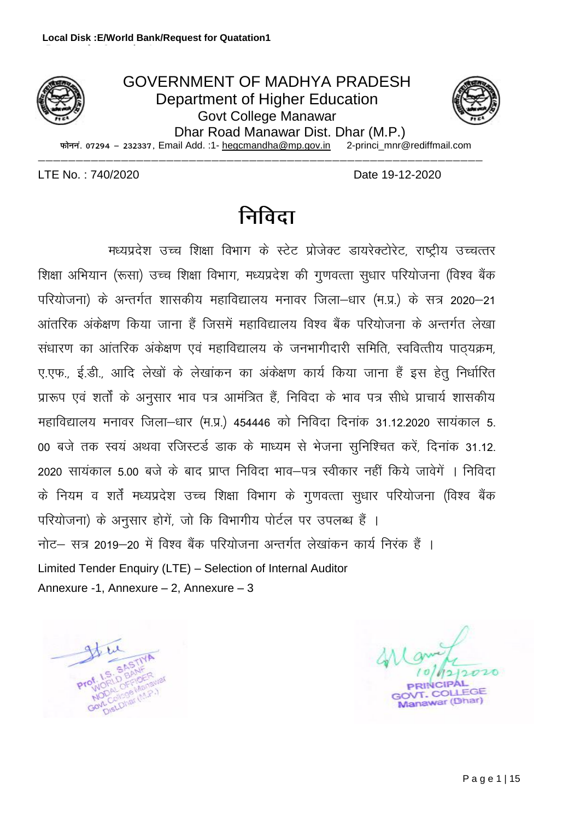



 $\overline{v}$   $\overline{v}$  are  $-$  232337, Email Add. :1- hegcmandha@mp.gov.in

&&&&&&&&&&&&&&&&&&&&&&&&&&&&&&&&&&&&&&&&&&&&&&&&&&&&&&&&&&&

LTE No. : 740/2020 Date 19-12-2020

# <u>निविदा</u>

मध्यप्रदेश उच्च शिक्षा विभाग के स्टेट प्रोजेक्ट डायरेक्टोरेट, राष्ट्रीय उच्चत्तर शिक्षा अभियान (रूसा) उच्च शिक्षा विभाग, मध्यप्रदेश की गुणवत्ता सुधार परियोजना (विश्व बैंक परियोजना) के अन्तर्गत शासकीय महाविद्यालय मनावर जिला-धार (म.प्र.) के सत्र 2020–21 आंतरिक अंकेक्षण किया जाना हैं जिसमें महाविद्यालय विश्व बैंक परियोजना के अन्तर्गत लेखा संधारण का आंतरिक अंकेक्षण एवं महाविद्यालय के जनभागीदारी समिति, स्ववित्तीय पाठयक्रम, ए.एफ., ई.डी., आदि लेखों के लेखांकन का अंकेक्षण कार्य किया जाना हैं इस हेतू निर्धारित प्रारूप एवं शर्तों के अनुसार भाव पत्र आमंत्रित हैं, निविदा के भाव पत्र सीधे प्राचार्य शासकीय महाविद्यालय मनावर जिला-धार (म.प्र.) 454446 को निविदा दिनांक 31.12.2020 सायंकाल 5. 00 बजे तक स्वयं अथवा रजिस्टर्ड डाक के माध्यम से भेजना सुनिश्चित करें, दिनांक 31.12. 2020 सायंकाल 5.00 बजे के बाद प्राप्त निविदा भाव–पत्र स्वीकार नहीं किये जावेगें । निविदा के नियम व शर्तें मध्यप्रदेश उच्च शिक्षा विभाग के गुणवत्ता सुधार परियोजना (विश्व बैंक परियोजना) के अनुसार होगें, जो कि विभागीय पोर्टल पर उपलब्ध हैं । नोट— सत्र 2019—20 में विश्व बैंक परियोजना अन्तर्गत लेखांकन कार्य निरंक हैं । Limited Tender Enquiry (LTE) – Selection of Internal Auditor Annexure -1, Annexure – 2, Annexure – 3

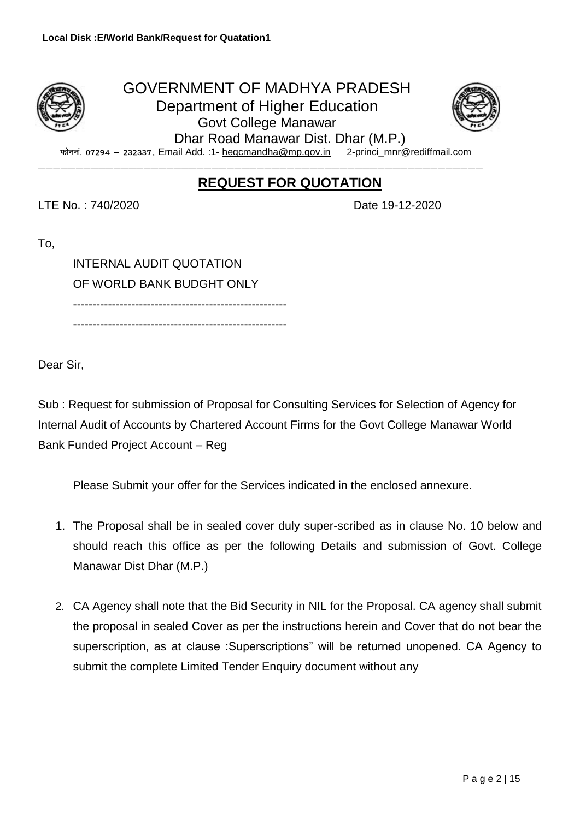# GOVERNMENT OF MADHYA PRADESH Department of Higher Education Govt College Manawar Dhar Road Manawar Dist. Dhar (M.P.)



फोननं. 07294 - 232337, Email Add. :1- hegcmandha@mp.gov.in 2-princi\_mnr@rediffmail.com

&&&&&&&&&&&&&&&&&&&&&&&&&&&&&&&&&&&&&&&&&&&&&&&&&&&&&&&&&&&

# **REQUEST FOR QUOTATION**

LTE No. : 740/2020 Date 19-12-2020

To,

INTERNAL AUDIT QUOTATION OF WORLD BANK BUDGHT ONLY -------------------------------------------------------

-------------------------------------------------------

Dear Sir,

Sub : Request for submission of Proposal for Consulting Services for Selection of Agency for Internal Audit of Accounts by Chartered Account Firms for the Govt College Manawar World Bank Funded Project Account – Reg

Please Submit your offer for the Services indicated in the enclosed annexure.

- 1. The Proposal shall be in sealed cover duly super-scribed as in clause No. 10 below and should reach this office as per the following Details and submission of Govt. College Manawar Dist Dhar (M.P.)
- 2. CA Agency shall note that the Bid Security in NIL for the Proposal. CA agency shall submit the proposal in sealed Cover as per the instructions herein and Cover that do not bear the superscription, as at clause :Superscriptions" will be returned unopened. CA Agency to submit the complete Limited Tender Enquiry document without any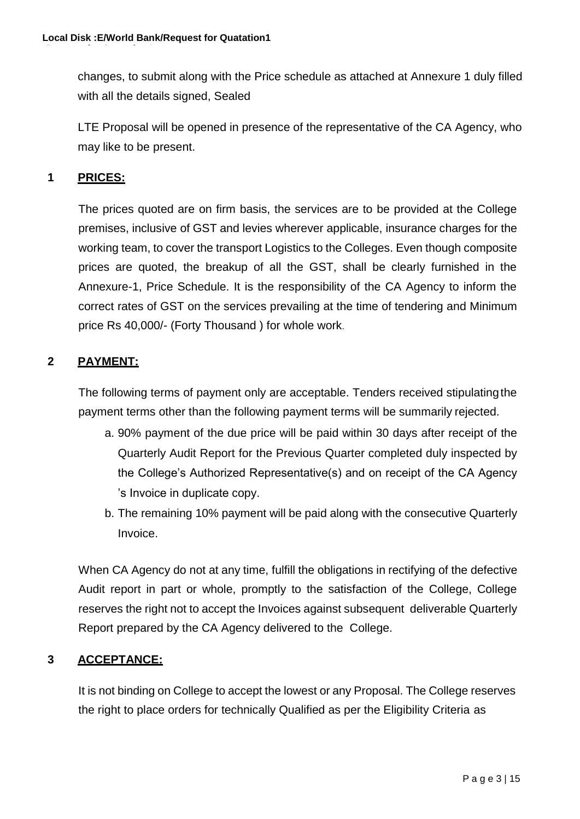changes, to submit along with the Price schedule as attached at Annexure 1 duly filled with all the details signed, Sealed

LTE Proposal will be opened in presence of the representative of the CA Agency, who may like to be present.

### **1 PRICES:**

The prices quoted are on firm basis, the services are to be provided at the College premises, inclusive of GST and levies wherever applicable, insurance charges for the working team, to cover the transport Logistics to the Colleges. Even though composite prices are quoted, the breakup of all the GST, shall be clearly furnished in the Annexure-1, Price Schedule. It is the responsibility of the CA Agency to inform the correct rates of GST on the services prevailing at the time of tendering and Minimum price Rs 40,000/- (Forty Thousand ) for whole work.

# **2 PAYMENT:**

The following terms of payment only are acceptable. Tenders received stipulatingthe payment terms other than the following payment terms will be summarily rejected.

- a. 90% payment of the due price will be paid within 30 days after receipt of the Quarterly Audit Report for the Previous Quarter completed duly inspected by the College's Authorized Representative(s) and on receipt of the CA Agency 's Invoice in duplicate copy.
- b. The remaining 10% payment will be paid along with the consecutive Quarterly Invoice.

When CA Agency do not at any time, fulfill the obligations in rectifying of the defective Audit report in part or whole, promptly to the satisfaction of the College, College reserves the right not to accept the Invoices against subsequent deliverable Quarterly Report prepared by the CA Agency delivered to the College.

# **3 ACCEPTANCE:**

It is not binding on College to accept the lowest or any Proposal. The College reserves the right to place orders for technically Qualified as per the Eligibility Criteria as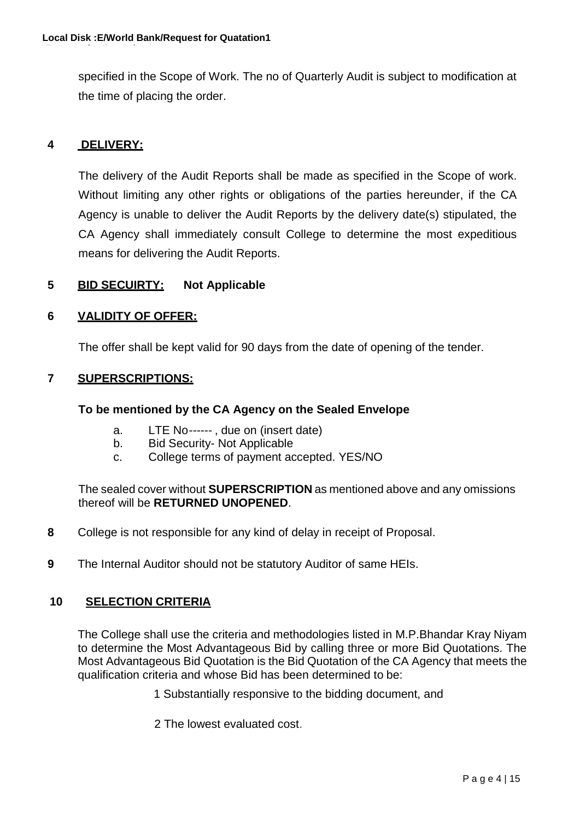specified in the Scope of Work. The no of Quarterly Audit is subject to modification at the time of placing the order.

#### **4 DELIVERY:**

The delivery of the Audit Reports shall be made as specified in the Scope of work. Without limiting any other rights or obligations of the parties hereunder, if the CA Agency is unable to deliver the Audit Reports by the delivery date(s) stipulated, the CA Agency shall immediately consult College to determine the most expeditious means for delivering the Audit Reports.

#### **5 BID SECUIRTY: Not Applicable**

#### **6 VALIDITY OF OFFER:**

The offer shall be kept valid for 90 days from the date of opening of the tender.

#### **7 SUPERSCRIPTIONS:**

#### **To be mentioned by the CA Agency on the Sealed Envelope**

- a. LTE No------ , due on (insert date)
- b. Bid Security- Not Applicable
- c. College terms of payment accepted. YES/NO

The sealed cover without **SUPERSCRIPTION** as mentioned above and any omissions thereof will be **RETURNED UNOPENED**.

- **8** College is not responsible for any kind of delay in receipt of Proposal.
- **9** The Internal Auditor should not be statutory Auditor of same HEIs.

#### **10 SELECTION CRITERIA**

The College shall use the criteria and methodologies listed in M.P.Bhandar Kray Niyam to determine the Most Advantageous Bid by calling three or more Bid Quotations. The Most Advantageous Bid Quotation is the Bid Quotation of the CA Agency that meets the qualification criteria and whose Bid has been determined to be:

1 Substantially responsive to the bidding document, and

2 The lowest evaluated cost.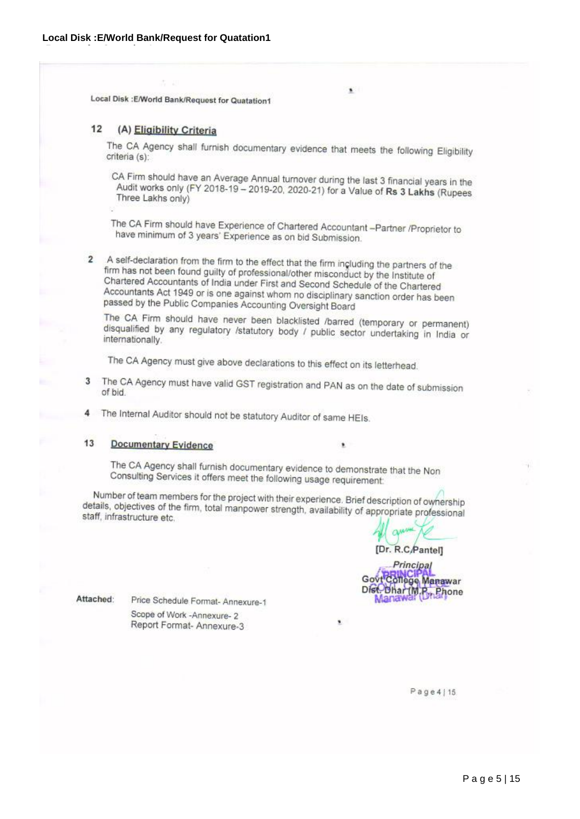Local Disk : E/World Bank/Request for Quatation1

#### 12 (A) Eligibility Criteria

The CA Agency shall furnish documentary evidence that meets the following Eligibility criteria (s):

×

CA Firm should have an Average Annual turnover during the last 3 financial years in the Audit works only (FY 2018-19 – 2019-20, 2020-21) for a Value of Rs 3 Lakhs (Rupees Three Lakhs only)

The CA Firm should have Experience of Chartered Accountant -Partner /Proprietor to have minimum of 3 years' Experience as on bid Submission.

A self-declaration from the firm to the effect that the firm including the partners of the  $\overline{2}$ firm has not been found guilty of professional/other misconduct by the Institute of Chartered Accountants of India under First and Second Schedule of the Chartered Accountants Act 1949 or is one against whom no disciplinary sanction order has been passed by the Public Companies Accounting Oversight Board

The CA Firm should have never been blacklisted /barred (temporary or permanent) disqualified by any regulatory /statutory body / public sector undertaking in India or internationally.

The CA Agency must give above declarations to this effect on its letterhead.

- The CA Agency must have valid GST registration and PAN as on the date of submission 3 of bid.
- The Internal Auditor should not be statutory Auditor of same HEIs.  $\overline{4}$

#### $13$ **Documentary Evidence**

The CA Agency shall furnish documentary evidence to demonstrate that the Non Consulting Services it offers meet the following usage requirement:

٠

۷

Number of team members for the project with their experience. Brief description of ownership details, objectives of the firm, total manpower strength, availability of appropriate professional<br>staff infrastructure etc. staff, infrastructure etc.

[Dr. R.C.Pantel]

**Principal** Govt College Manawar Disc Dhar (M.P., Phone Manaw

Attached:

Price Schedule Format- Annexure-1 Scope of Work - Annexure- 2 Report Format- Annexure-3

Page 4 | 15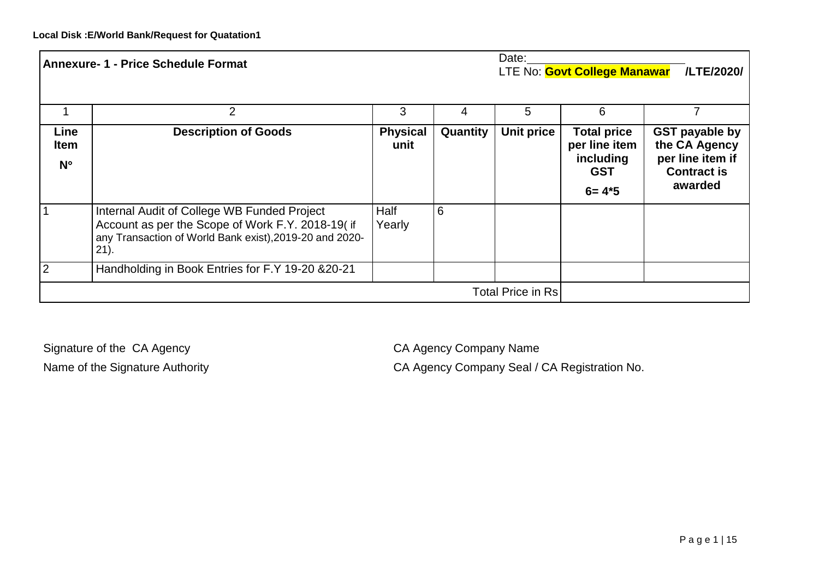| Date:<br><b>Annexure- 1 - Price Schedule Format</b> |                                                                                                                                                                        |                         | LTE No: <b>Govt College Manawar</b> | /LTE/2020/ |                                                                             |                                                                                             |
|-----------------------------------------------------|------------------------------------------------------------------------------------------------------------------------------------------------------------------------|-------------------------|-------------------------------------|------------|-----------------------------------------------------------------------------|---------------------------------------------------------------------------------------------|
|                                                     | $\overline{2}$                                                                                                                                                         | 3                       | 4                                   | 5          | 6                                                                           |                                                                                             |
| Line<br><b>Item</b><br>$N^{\circ}$                  | <b>Description of Goods</b>                                                                                                                                            | <b>Physical</b><br>unit | Quantity                            | Unit price | <b>Total price</b><br>per line item<br>including<br><b>GST</b><br>$6 = 4*5$ | <b>GST payable by</b><br>the CA Agency<br>per line item if<br><b>Contract is</b><br>awarded |
|                                                     | Internal Audit of College WB Funded Project<br>Account as per the Scope of Work F.Y. 2018-19( if<br>any Transaction of World Bank exist), 2019-20 and 2020-<br>$21$ ). | Half<br>Yearly          | 6                                   |            |                                                                             |                                                                                             |
| $\overline{2}$                                      | Handholding in Book Entries for F.Y 19-20 & 20-21                                                                                                                      |                         |                                     |            |                                                                             |                                                                                             |
|                                                     | <b>Total Price in Rs</b>                                                                                                                                               |                         |                                     |            |                                                                             |                                                                                             |

Signature of the CA Agency CA Agency CA Agency Company Name

Name of the Signature Authority **CA Agency Company Seal / CA Registration No.**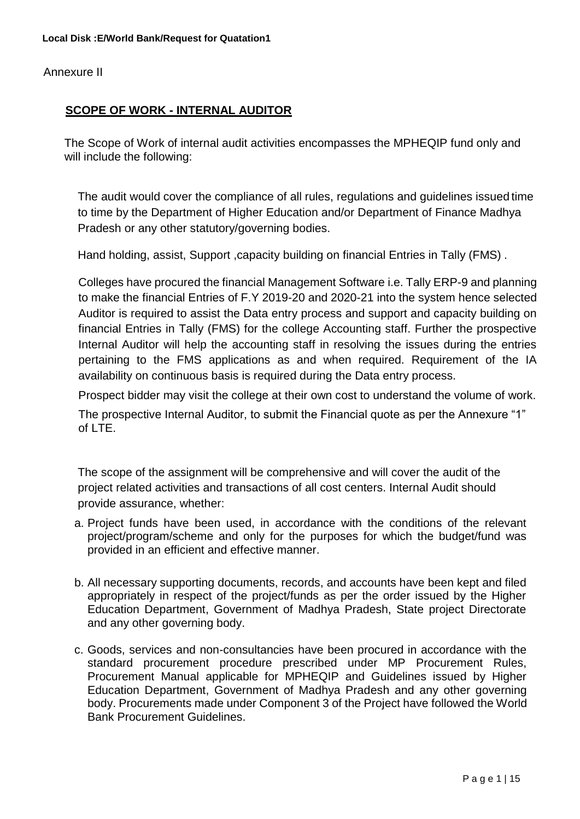Annexure II

#### **SCOPE OF WORK - INTERNAL AUDITOR**

The Scope of Work of internal audit activities encompasses the MPHEQIP fund only and will include the following:

The audit would cover the compliance of all rules, regulations and guidelines issued time to time by the Department of Higher Education and/or Department of Finance Madhya Pradesh or any other statutory/governing bodies.

Hand holding, assist, Support, capacity building on financial Entries in Tally (FMS).

Colleges have procured the financial Management Software i.e. Tally ERP-9 and planning to make the financial Entries of F.Y 2019-20 and 2020-21 into the system hence selected Auditor is required to assist the Data entry process and support and capacity building on financial Entries in Tally (FMS) for the college Accounting staff. Further the prospective Internal Auditor will help the accounting staff in resolving the issues during the entries pertaining to the FMS applications as and when required. Requirement of the IA availability on continuous basis is required during the Data entry process.

Prospect bidder may visit the college at their own cost to understand the volume of work.

The prospective Internal Auditor, to submit the Financial quote as per the Annexure "1" of LTE.

The scope of the assignment will be comprehensive and will cover the audit of the project related activities and transactions of all cost centers. Internal Audit should provide assurance, whether:

- a. Project funds have been used, in accordance with the conditions of the relevant project/program/scheme and only for the purposes for which the budget/fund was provided in an efficient and effective manner.
- b. All necessary supporting documents, records, and accounts have been kept and filed appropriately in respect of the project/funds as per the order issued by the Higher Education Department, Government of Madhya Pradesh, State project Directorate and any other governing body.
- c. Goods, services and non-consultancies have been procured in accordance with the standard procurement procedure prescribed under MP Procurement Rules, Procurement Manual applicable for MPHEQIP and Guidelines issued by Higher Education Department, Government of Madhya Pradesh and any other governing body. Procurements made under Component 3 of the Project have followed the World Bank Procurement Guidelines.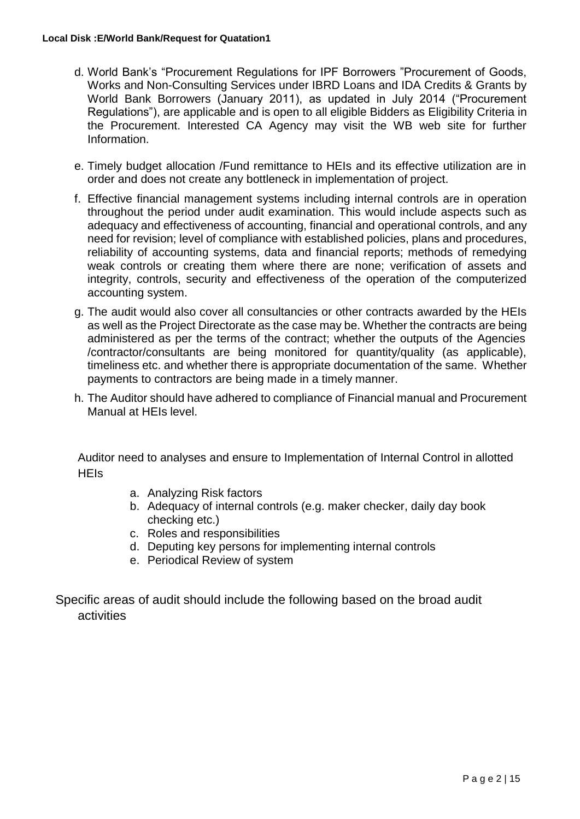#### **Local Disk :E/World Bank/Request for Quatation1**

- d. World Bank's ["Procurement R](http://www.worldbank.org/html/opr/procure/guidelin.html)egulations for IPF Borrowers "Procurement of Goods, Works and Non-Consulting Services under IBRD Loans and IDA Credits & Grants by World Bank Borrowers (January 2011), as updated in July 2014 ("Procurement Regulations"), are applicable and is open to all eligible Bidders as Eligibility Criteria in the Procurement. Interested CA Agency may visit the WB web site for further Information.
- e. Timely budget allocation /Fund remittance to HEIs and its effective utilization are in order and does not create any bottleneck in implementation of project.
- f. Effective financial management systems including internal controls are in operation throughout the period under audit examination. This would include aspects such as adequacy and effectiveness of accounting, financial and operational controls, and any need for revision; level of compliance with established policies, plans and procedures, reliability of accounting systems, data and financial reports; methods of remedying weak controls or creating them where there are none; verification of assets and integrity, controls, security and effectiveness of the operation of the computerized accounting system.
- g. The audit would also cover all consultancies or other contracts awarded by the HEIs as well as the Project Directorate as the case may be. Whether the contracts are being administered as per the terms of the contract; whether the outputs of the Agencies /contractor/consultants are being monitored for quantity/quality (as applicable), timeliness etc. and whether there is appropriate documentation of the same. Whether payments to contractors are being made in a timely manner.
- h. The Auditor should have adhered to compliance of Financial manual and Procurement Manual at HEIs level.

Auditor need to analyses and ensure to Implementation of Internal Control in allotted **HFIs** 

- a. Analyzing Risk factors
- b. Adequacy of internal controls (e.g. maker checker, daily day book checking etc.)
- c. Roles and responsibilities
- d. Deputing key persons for implementing internal controls
- e. Periodical Review of system

Specific areas of audit should include the following based on the broad audit activities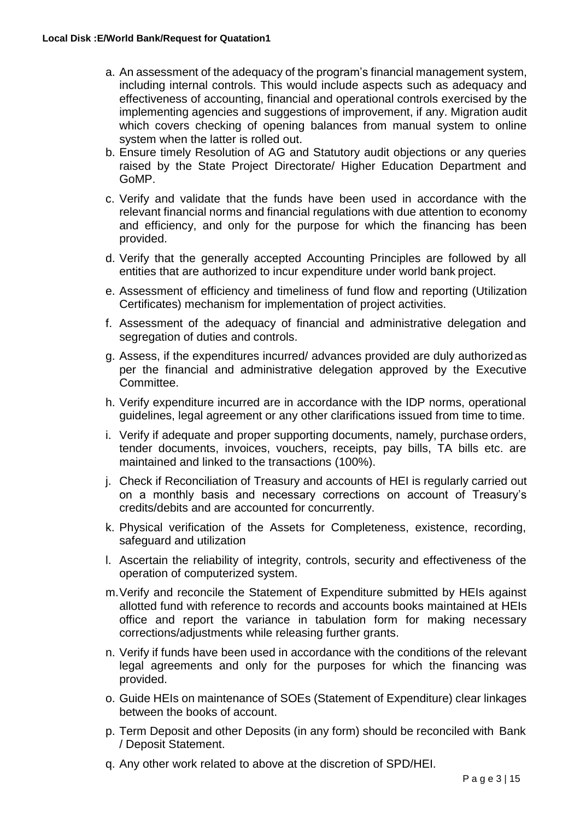- a. An assessment of the adequacy of the program's financial management system, including internal controls. This would include aspects such as adequacy and effectiveness of accounting, financial and operational controls exercised by the implementing agencies and suggestions of improvement, if any. Migration audit which covers checking of opening balances from manual system to online system when the latter is rolled out.
- b. Ensure timely Resolution of AG and Statutory audit objections or any queries raised by the State Project Directorate/ Higher Education Department and GoMP.
- c. Verify and validate that the funds have been used in accordance with the relevant financial norms and financial regulations with due attention to economy and efficiency, and only for the purpose for which the financing has been provided.
- d. Verify that the generally accepted Accounting Principles are followed by all entities that are authorized to incur expenditure under world bank project.
- e. Assessment of efficiency and timeliness of fund flow and reporting (Utilization Certificates) mechanism for implementation of project activities.
- f. Assessment of the adequacy of financial and administrative delegation and segregation of duties and controls.
- g. Assess, if the expenditures incurred/ advances provided are duly authorizedas per the financial and administrative delegation approved by the Executive Committee.
- h. Verify expenditure incurred are in accordance with the IDP norms, operational guidelines, legal agreement or any other clarifications issued from time to time.
- i. Verify if adequate and proper supporting documents, namely, purchase orders, tender documents, invoices, vouchers, receipts, pay bills, TA bills etc. are maintained and linked to the transactions (100%).
- j. Check if Reconciliation of Treasury and accounts of HEI is regularly carried out on a monthly basis and necessary corrections on account of Treasury's credits/debits and are accounted for concurrently.
- k. Physical verification of the Assets for Completeness, existence, recording, safeguard and utilization
- l. Ascertain the reliability of integrity, controls, security and effectiveness of the operation of computerized system.
- m.Verify and reconcile the Statement of Expenditure submitted by HEIs against allotted fund with reference to records and accounts books maintained at HEIs office and report the variance in tabulation form for making necessary corrections/adjustments while releasing further grants.
- n. Verify if funds have been used in accordance with the conditions of the relevant legal agreements and only for the purposes for which the financing was provided.
- o. Guide HEIs on maintenance of SOEs (Statement of Expenditure) clear linkages between the books of account.
- p. Term Deposit and other Deposits (in any form) should be reconciled with Bank / Deposit Statement.
- q. Any other work related to above at the discretion of SPD/HEI.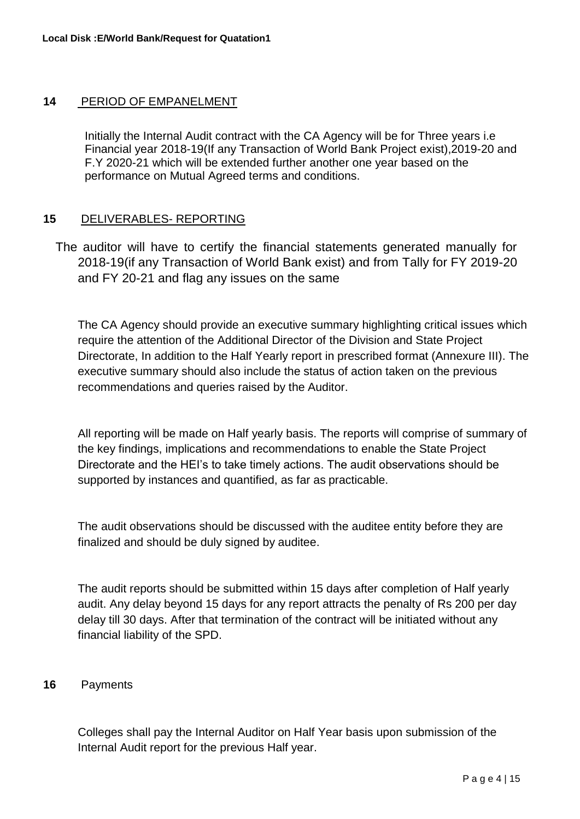#### **14** PERIOD OF EMPANELMENT

Initially the Internal Audit contract with the CA Agency will be for Three years i.e Financial year 2018-19(If any Transaction of World Bank Project exist),2019-20 and F.Y 2020-21 which will be extended further another one year based on the performance on Mutual Agreed terms and conditions.

#### **15** DELIVERABLES- REPORTING

The auditor will have to certify the financial statements generated manually for 2018-19(if any Transaction of World Bank exist) and from Tally for FY 2019-20 and FY 20-21 and flag any issues on the same

The CA Agency should provide an executive summary highlighting critical issues which require the attention of the Additional Director of the Division and State Project Directorate, In addition to the Half Yearly report in prescribed format (Annexure III). The executive summary should also include the status of action taken on the previous recommendations and queries raised by the Auditor.

All reporting will be made on Half yearly basis. The reports will comprise of summary of the key findings, implications and recommendations to enable the State Project Directorate and the HEI's to take timely actions. The audit observations should be supported by instances and quantified, as far as practicable.

The audit observations should be discussed with the auditee entity before they are finalized and should be duly signed by auditee.

The audit reports should be submitted within 15 days after completion of Half yearly audit. Any delay beyond 15 days for any report attracts the penalty of Rs 200 per day delay till 30 days. After that termination of the contract will be initiated without any financial liability of the SPD.

#### **16** Payments

Colleges shall pay the Internal Auditor on Half Year basis upon submission of the Internal Audit report for the previous Half year.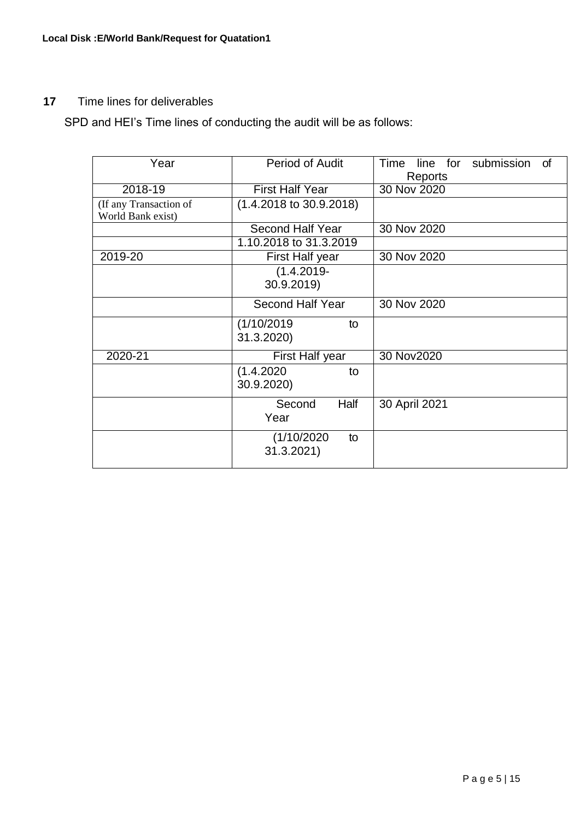# **17** Time lines for deliverables

SPD and HEI's Time lines of conducting the audit will be as follows:

| Year                                        | <b>Period of Audit</b>             | line for submission<br>Time<br>of<br>Reports |
|---------------------------------------------|------------------------------------|----------------------------------------------|
| 2018-19                                     | <b>First Half Year</b>             | 30 Nov 2020                                  |
| (If any Transaction of<br>World Bank exist) | $(1.4.2018 \text{ to } 30.9.2018)$ |                                              |
|                                             | Second Half Year                   | 30 Nov 2020                                  |
|                                             | 1.10.2018 to 31.3.2019             |                                              |
| 2019-20                                     | First Half year                    | 30 Nov 2020                                  |
|                                             | $(1.4.2019 -$<br>30.9.2019)        |                                              |
|                                             | <b>Second Half Year</b>            | 30 Nov 2020                                  |
|                                             | (1/10/2019<br>to<br>31.3.2020)     |                                              |
| 2020-21                                     | First Half year                    | 30 Nov2020                                   |
|                                             | (1.4.2020)<br>to<br>30.9.2020)     |                                              |
|                                             | Half<br>Second<br>Year             | 30 April 2021                                |
|                                             | (1/10/2020)<br>to<br>31.3.2021)    |                                              |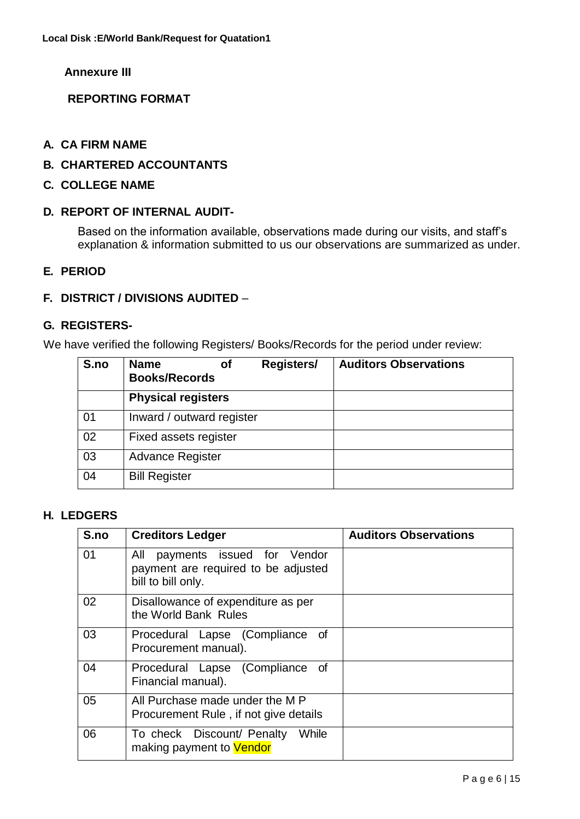**Annexure III** 

**REPORTING FORMAT**

- **A. CA FIRM NAME**
- **B. CHARTERED ACCOUNTANTS**
- **C. COLLEGE NAME**

#### **D. REPORT OF INTERNAL AUDIT-**

Based on the information available, observations made during our visits, and staff's explanation & information submitted to us our observations are summarized as under.

#### **E. PERIOD**

#### **F. DISTRICT / DIVISIONS AUDITED** –

#### **G. REGISTERS-**

We have verified the following Registers/ Books/Records for the period under review:

| S.no | <b>Name</b><br>Οf<br><b>Books/Records</b> | Registers/ | <b>Auditors Observations</b> |
|------|-------------------------------------------|------------|------------------------------|
|      | <b>Physical registers</b>                 |            |                              |
| 01   | Inward / outward register                 |            |                              |
| 02   | Fixed assets register                     |            |                              |
| 03   | <b>Advance Register</b>                   |            |                              |
| 04   | <b>Bill Register</b>                      |            |                              |

#### **H. LEDGERS**

| S.no | <b>Creditors Ledger</b>                                                                        | <b>Auditors Observations</b> |
|------|------------------------------------------------------------------------------------------------|------------------------------|
| 01   | payments issued for Vendor<br>All<br>payment are required to be adjusted<br>bill to bill only. |                              |
| 02   | Disallowance of expenditure as per<br>the World Bank Rules                                     |                              |
| 03   | Procedural Lapse (Compliance<br>of<br>Procurement manual).                                     |                              |
| 04   | Procedural Lapse (Compliance of<br>Financial manual).                                          |                              |
| 05   | All Purchase made under the MP<br>Procurement Rule, if not give details                        |                              |
| 06   | While<br>To check Discount/ Penalty<br>making payment to Vendor                                |                              |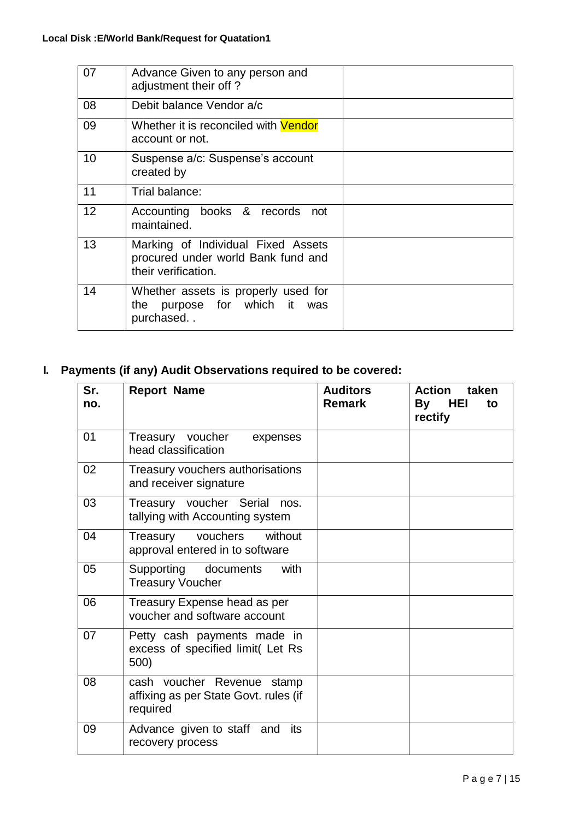| 07 | Advance Given to any person and<br>adjustment their off?                                        |  |
|----|-------------------------------------------------------------------------------------------------|--|
| 08 | Debit balance Vendor a/c                                                                        |  |
| 09 | Whether it is reconciled with <b>Vendor</b><br>account or not.                                  |  |
| 10 | Suspense a/c: Suspense's account<br>created by                                                  |  |
| 11 | Trial balance:                                                                                  |  |
| 12 | Accounting books & records not<br>maintained.                                                   |  |
| 13 | Marking of Individual Fixed Assets<br>procured under world Bank fund and<br>their verification. |  |
| 14 | Whether assets is properly used for<br>purpose for which it was<br>the<br>purchased             |  |

# **I. Payments (if any) Audit Observations required to be covered:**

| Sr.<br>no. | <b>Report Name</b>                                                              | <b>Auditors</b><br><b>Remark</b> | <b>Action</b><br>taken<br>By HEI<br>to<br>rectify |
|------------|---------------------------------------------------------------------------------|----------------------------------|---------------------------------------------------|
| 01         | Treasury voucher<br>expenses<br>head classification                             |                                  |                                                   |
| 02         | Treasury vouchers authorisations<br>and receiver signature                      |                                  |                                                   |
| 03         | Treasury voucher Serial<br>nos.<br>tallying with Accounting system              |                                  |                                                   |
| 04         | vouchers<br>without<br>Treasury<br>approval entered in to software              |                                  |                                                   |
| 05         | Supporting documents<br>with<br><b>Treasury Voucher</b>                         |                                  |                                                   |
| 06         | Treasury Expense head as per<br>voucher and software account                    |                                  |                                                   |
| 07         | Petty cash payments made in<br>excess of specified limit(Let Rs<br>500)         |                                  |                                                   |
| 08         | cash voucher Revenue stamp<br>affixing as per State Govt. rules (if<br>required |                                  |                                                   |
| 09         | Advance given to staff and<br>its<br>recovery process                           |                                  |                                                   |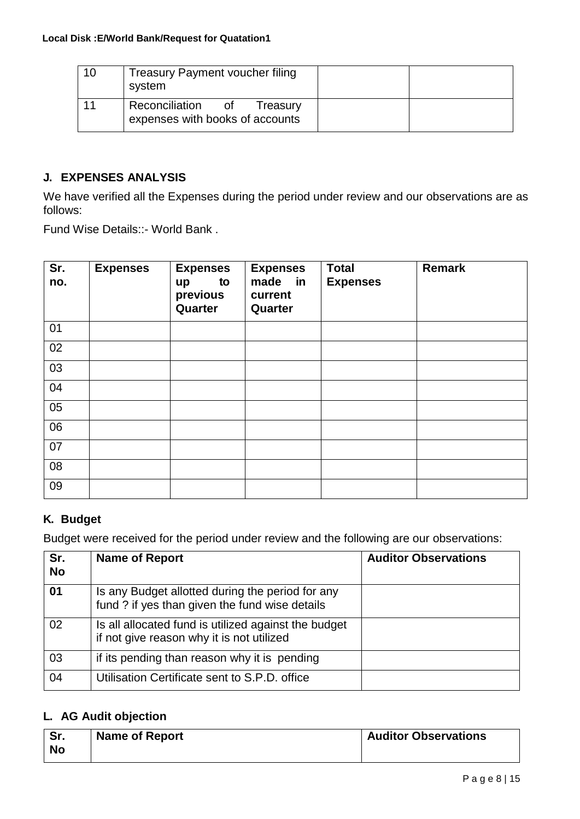| 10 | <b>Treasury Payment voucher filing</b><br>system                 |  |
|----|------------------------------------------------------------------|--|
|    | Reconciliation of<br>Treasury<br>expenses with books of accounts |  |

### **J. EXPENSES ANALYSIS**

We have verified all the Expenses during the period under review and our observations are as follows:

Fund Wise Details::- World Bank .

| Sr.<br>no. | <b>Expenses</b> | <b>Expenses</b><br>to<br>up<br>previous<br>Quarter | <b>Expenses</b><br>made in<br>current<br>Quarter | <b>Total</b><br><b>Expenses</b> | <b>Remark</b> |
|------------|-----------------|----------------------------------------------------|--------------------------------------------------|---------------------------------|---------------|
| 01         |                 |                                                    |                                                  |                                 |               |
| 02         |                 |                                                    |                                                  |                                 |               |
| 03         |                 |                                                    |                                                  |                                 |               |
| 04         |                 |                                                    |                                                  |                                 |               |
| 05         |                 |                                                    |                                                  |                                 |               |
| 06         |                 |                                                    |                                                  |                                 |               |
| 07         |                 |                                                    |                                                  |                                 |               |
| 08         |                 |                                                    |                                                  |                                 |               |
| 09         |                 |                                                    |                                                  |                                 |               |

# **K. Budget**

Budget were received for the period under review and the following are our observations:

| Sr.<br><b>No</b> | <b>Name of Report</b>                                                                              | <b>Auditor Observations</b> |
|------------------|----------------------------------------------------------------------------------------------------|-----------------------------|
| 01               | Is any Budget allotted during the period for any<br>fund ? if yes than given the fund wise details |                             |
| 02               | Is all allocated fund is utilized against the budget<br>if not give reason why it is not utilized  |                             |
| 03               | if its pending than reason why it is pending                                                       |                             |
| 04               | Utilisation Certificate sent to S.P.D. office                                                      |                             |

# **L. AG Audit objection**

| Sr.<br><b>No</b> | <b>Name of Report</b> | <b>Auditor Observations</b> |
|------------------|-----------------------|-----------------------------|
|                  |                       |                             |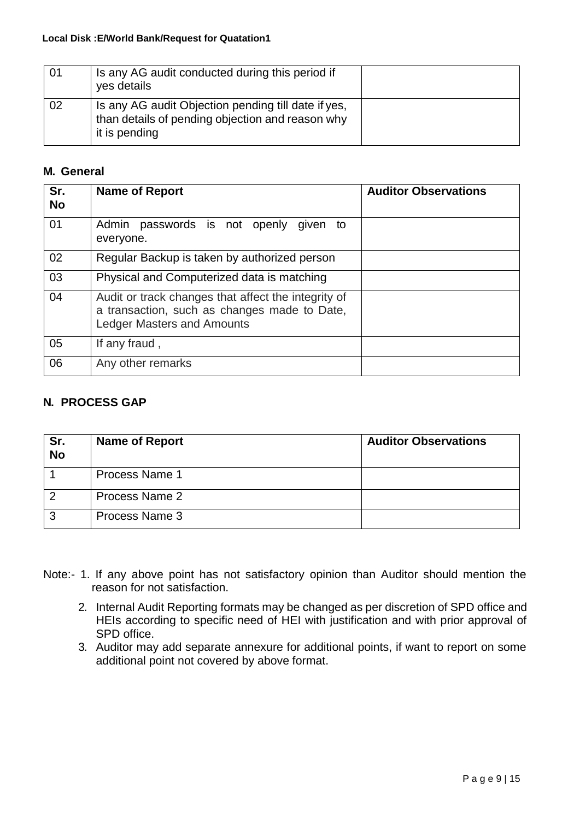| 01 | Is any AG audit conducted during this period if<br>yes details                                                           |  |
|----|--------------------------------------------------------------------------------------------------------------------------|--|
| 02 | Is any AG audit Objection pending till date if yes,<br>than details of pending objection and reason why<br>it is pending |  |

# **M. General**

| Sr.<br><b>No</b> | <b>Name of Report</b>                                                                                                                    | <b>Auditor Observations</b> |
|------------------|------------------------------------------------------------------------------------------------------------------------------------------|-----------------------------|
| 01               | Admin passwords is not openly<br>given to<br>everyone.                                                                                   |                             |
| 02               | Regular Backup is taken by authorized person                                                                                             |                             |
| 03               | Physical and Computerized data is matching                                                                                               |                             |
| 04               | Audit or track changes that affect the integrity of<br>a transaction, such as changes made to Date,<br><b>Ledger Masters and Amounts</b> |                             |
| 05               | If any fraud,                                                                                                                            |                             |
| 06               | Any other remarks                                                                                                                        |                             |

### **N. PROCESS GAP**

| Sr.<br><b>No</b> | <b>Name of Report</b> | <b>Auditor Observations</b> |
|------------------|-----------------------|-----------------------------|
|                  | <b>Process Name 1</b> |                             |
|                  | Process Name 2        |                             |
| ◠                | Process Name 3        |                             |

- Note:- 1. If any above point has not satisfactory opinion than Auditor should mention the reason for not satisfaction.
	- 2. Internal Audit Reporting formats may be changed as per discretion of SPD office and HEIs according to specific need of HEI with justification and with prior approval of SPD office.
	- 3. Auditor may add separate annexure for additional points, if want to report on some additional point not covered by above format.